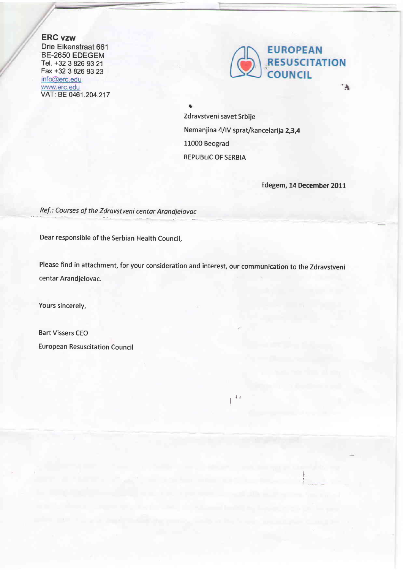ERG vzw Drie Eikenstraat 661 BE-2650 EDEGEM Tel. +32 3 826 93 21 Fax +32 3 826 93 23<br>info@erc.edu www.erc.edu VAT: BE 0461.204.217



+ Zdravstveni savet Srbije Nemanjina 4/IV sprat/kancelarija 2,3,4 11000 Beograd REPUBLIC OF SERBIA

 $\mathbf{I}^{\mathbf{t}}$ 

Edegem, 14 December 2011

I I

Ref.: Courses of the Zdravstveni centar Arandjelovac

Dear responsible of the Serbian Health Council,

Please find in attachment, for your consideration and interest, our communication to the Zdravstveni centar Arandjelovac.

Yours sincerely,

Bart Vissers CEO European Resuscitation Council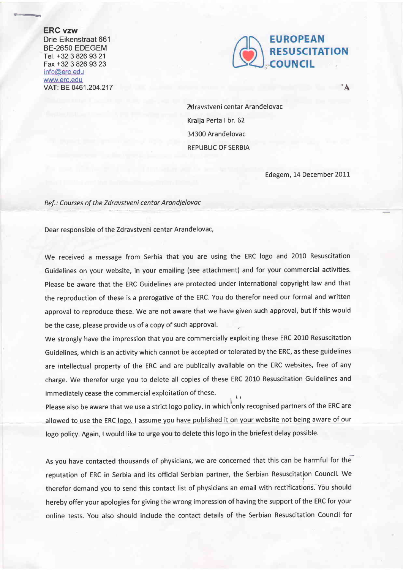## ERC vzw

Drie Eikenstraat 661 BE-2650 EDEGEM Tel. +32 3 826 93 21 Fax +32 3 826 93 23 info@erc.edu www.erc.edu VAT: BE 0461.204.217



dravstveni centar Arandelovac Kralja Perta I br. 62 34300 Arandelovac REPUBLIC OF SERBIA

Edegem, 14 December 2OIL

 $\mathbf{A}^{\dagger}$ 

Ref.: Courses of the Zdravstveni centar Arandjelovac

Dear responsible of the Zdravstveni centar Arandelovac,

We received a message from Serbia that you are using the ERC logo and 2010 Resuscitation Guidelines on your website, in your emailing (see attachment) and for your commercial activities. Please be aware that the ERC Guidelines are protected under international copyright law and that the reproduction of these is a prerogative of the ERC. You do therefor need our formal and written approval to reproduce these. We are not aware that we have given such approval, but if this would be the case, please provide us of a copy of such approval.

We strongly have the impression that you are commercially exploiting these ERC 2010 Resuscitation Guidelines, which is an activity which cannot be accepted or tolerated by the ERC, as these guidelines are intellectual property of the ERC and are publically available on the ERC websites, free of any charge. We therefor urge you to delete all copies of these ERC 2010 Resuscitation Guidelines and immediately cease the commercial exploitation of these. i ,

Please also be aware that we use a strict logo policy, in which only recognised partners of the ERC are allowed to use the ERC logo. I assume you have published it on your website not being aware of our logo policy. Again, Iwould like to urge you to delete this logo in the briefest delay possible.

 $\mathbf{L}$ 

As you have contacted thousands of physicians, we are concerned that this can be harmful for the reputation of ERC in Serbia and its official Serbian partner, the Serbian Resuscitation Council. We therefor demand you to send this contact list of physicians an email with rectifications. You should hereby offer your apologies for giving the wrong impression of having the support of the ERC for your online tests. You also should include the contact details of the Serbian Resuscitation Council for